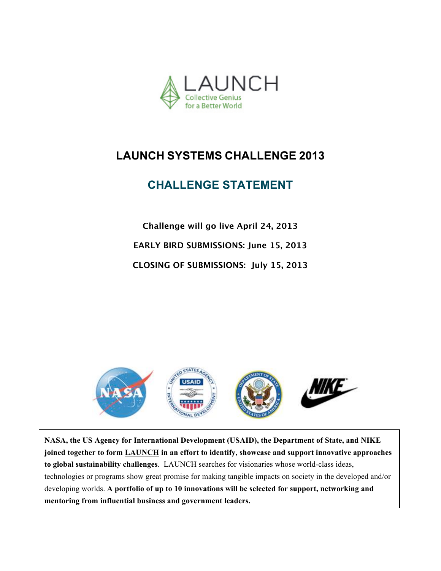

# **CHALLENGE STATEMENT**

**Challenge will go live April 24, 2013 EARLY BIRD SUBMISSIONS: June 15, 2013 CLOSING OF SUBMISSIONS: July 15, 2013**



**NASA, the US Agency for International Development (USAID), the Department of State, and NIKE joined together to form LAUNCH in an effort to identify, showcase and support innovative approaches to global sustainability challenges**. LAUNCH searches for visionaries whose world-class ideas, technologies or programs show great promise for making tangible impacts on society in the developed and/or developing worlds. **A portfolio of up to 10 innovations will be selected for support, networking and mentoring from influential business and government leaders.**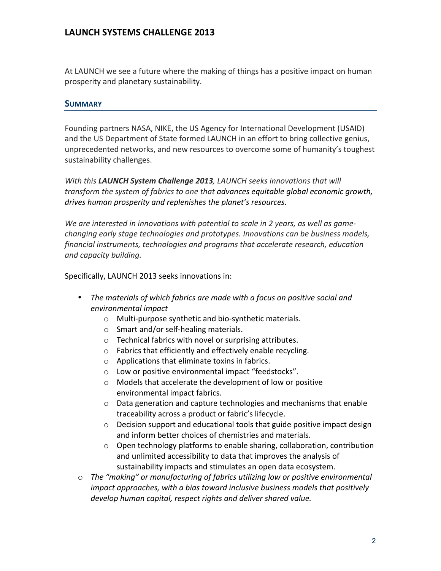At LAUNCH we see a future where the making of things has a positive impact on human prosperity and planetary sustainability.

#### **SUMMARY**

Founding partners NASA, NIKE, the US Agency for International Development (USAID) and the US Department of State formed LAUNCH in an effort to bring collective genius, unprecedented networks, and new resources to overcome some of humanity's toughest sustainability challenges.

With this LAUNCH System Challenge 2013, LAUNCH seeks innovations that will *transform the system of fabrics to one that advances equitable global economic growth,* drives human prosperity and replenishes the planet's resources.

We are interested in innovations with potential to scale in 2 years, as well as gamechanging early stage technologies and prototypes. Innovations can be business models, *financial instruments, technologies and programs that accelerate research, education and capacity building.*

Specifically, LAUNCH 2013 seeks innovations in:

- The materials of which fabrics are made with a focus on positive social and *environmental impact* 
	- $\circ$  Multi-purpose synthetic and bio-synthetic materials.
	- $\circ$  Smart and/or self-healing materials.
	- $\circ$  Technical fabrics with novel or surprising attributes.
	- $\circ$  Fabrics that efficiently and effectively enable recycling.
	- $\circ$  Applications that eliminate toxins in fabrics.
	- o Low or positive environmental impact "feedstocks".
	- $\circ$  Models that accelerate the development of low or positive environmental impact fabrics.
	- $\circ$  Data generation and capture technologies and mechanisms that enable traceability across a product or fabric's lifecycle.
	- $\circ$  Decision support and educational tools that guide positive impact design and inform better choices of chemistries and materials.
	- o Open technology platforms to enable sharing, collaboration, contribution and unlimited accessibility to data that improves the analysis of sustainability impacts and stimulates an open data ecosystem.
- $\circ$  The "making" or manufacturing of fabrics utilizing low or positive environmental *impact approaches, with a bias toward inclusive business models that positively develop human capital, respect rights and deliver shared value.*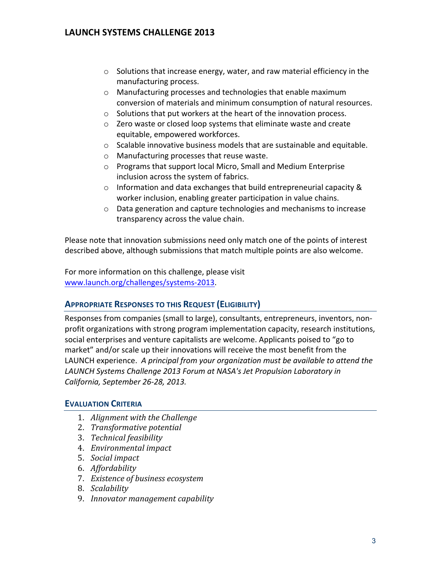- $\circ$  Solutions that increase energy, water, and raw material efficiency in the manufacturing process.
- $\circ$  Manufacturing processes and technologies that enable maximum conversion of materials and minimum consumption of natural resources.
- $\circ$  Solutions that put workers at the heart of the innovation process.
- $\circ$  Zero waste or closed loop systems that eliminate waste and create equitable, empowered workforces.
- $\circ$  Scalable innovative business models that are sustainable and equitable.
- $\circ$  Manufacturing processes that reuse waste.
- $\circ$  Programs that support local Micro, Small and Medium Enterprise inclusion across the system of fabrics.
- $\circ$  Information and data exchanges that build entrepreneurial capacity & worker inclusion, enabling greater participation in value chains.
- $\circ$  Data generation and capture technologies and mechanisms to increase transparency across the value chain.

Please note that innovation submissions need only match one of the points of interest described above, although submissions that match multiple points are also welcome.

For more information on this challenge, please visit www.launch.org/challenges/systems-2013.

### **APPROPRIATE RESPONSES TO THIS REQUEST (ELIGIBILITY)**

Responses from companies (small to large), consultants, entrepreneurs, inventors, nonprofit organizations with strong program implementation capacity, research institutions, social enterprises and venture capitalists are welcome. Applicants poised to "go to market" and/or scale up their innovations will receive the most benefit from the LAUNCH experience. A principal from your organization must be available to attend the LAUNCH Systems Challenge 2013 Forum at NASA's Jet Propulsion Laboratory in *California, September 26-28, 2013.*

### **EVALUATION CRITERIA**

- 1. *Alignment with the Challenge*
- 2. *Transformative potential*
- 3. *Technical feasibility*
- 4. *Environmental impact*
- 5. *Social* impact
- 6. *Affordability*
- 7. *Existence of business ecosystem*
- 8. *Scalability*
- 9. *Innovator management capability*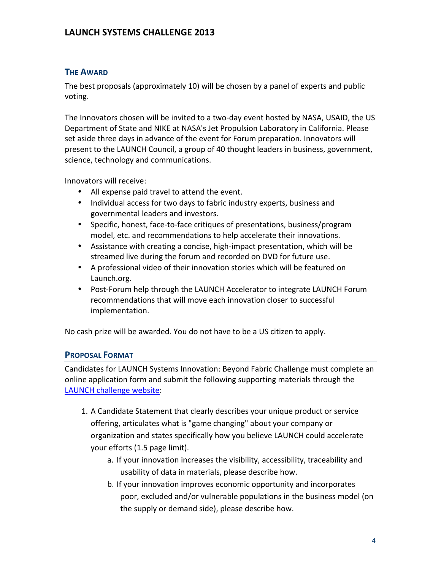#### **THE AWARD**

The best proposals (approximately 10) will be chosen by a panel of experts and public voting.

The Innovators chosen will be invited to a two-day event hosted by NASA, USAID, the US Department of State and NIKE at NASA's Jet Propulsion Laboratory in California. Please set aside three days in advance of the event for Forum preparation. Innovators will present to the LAUNCH Council, a group of 40 thought leaders in business, government, science, technology and communications.

Innovators will receive:

- All expense paid travel to attend the event.
- Individual access for two days to fabric industry experts, business and governmental leaders and investors.
- Specific, honest, face-to-face critiques of presentations, business/program model, etc. and recommendations to help accelerate their innovations.
- Assistance with creating a concise, high-impact presentation, which will be streamed live during the forum and recorded on DVD for future use.
- A professional video of their innovation stories which will be featured on Launch.org.
- Post-Forum help through the LAUNCH Accelerator to integrate LAUNCH Forum recommendations that will move each innovation closer to successful implementation.

No cash prize will be awarded. You do not have to be a US citizen to apply.

#### **PROPOSAL FORMAT**

Candidates for LAUNCH Systems Innovation: Beyond Fabric Challenge must complete an online application form and submit the following supporting materials through the LAUNCH challenge website:

- 1. A Candidate Statement that clearly describes your unique product or service offering, articulates what is "game changing" about your company or organization and states specifically how you believe LAUNCH could accelerate your efforts (1.5 page limit).
	- a. If your innovation increases the visibility, accessibility, traceability and usability of data in materials, please describe how.
	- b. If your innovation improves economic opportunity and incorporates poor, excluded and/or vulnerable populations in the business model (on the supply or demand side), please describe how.